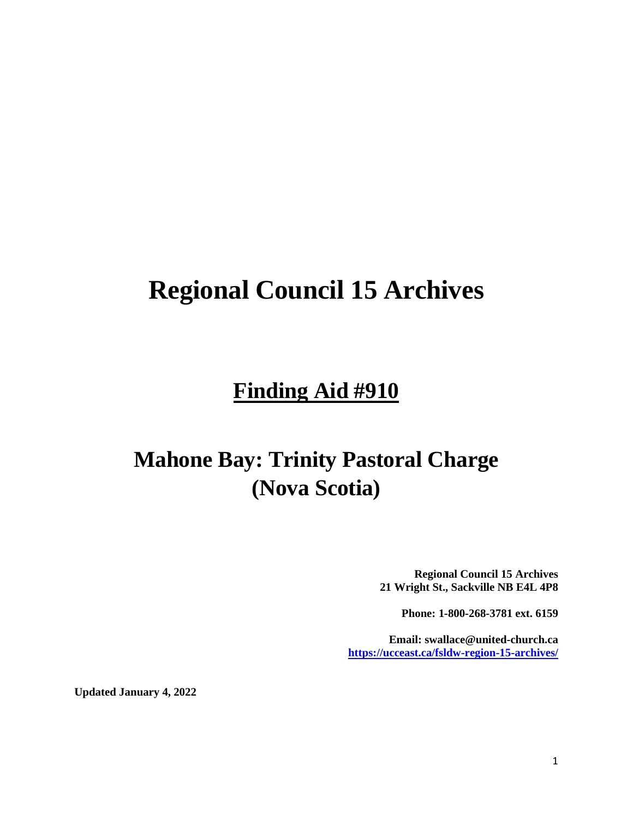# **Regional Council 15 Archives**

# **Finding Aid #910**

# **Mahone Bay: Trinity Pastoral Charge (Nova Scotia)**

**Regional Council 15 Archives 21 Wright St., Sackville NB E4L 4P8**

**Phone: 1-800-268-3781 ext. 6159**

**Email: swallace@united-church.ca <https://ucceast.ca/fsldw-region-15-archives/>**

**Updated January 4, 2022**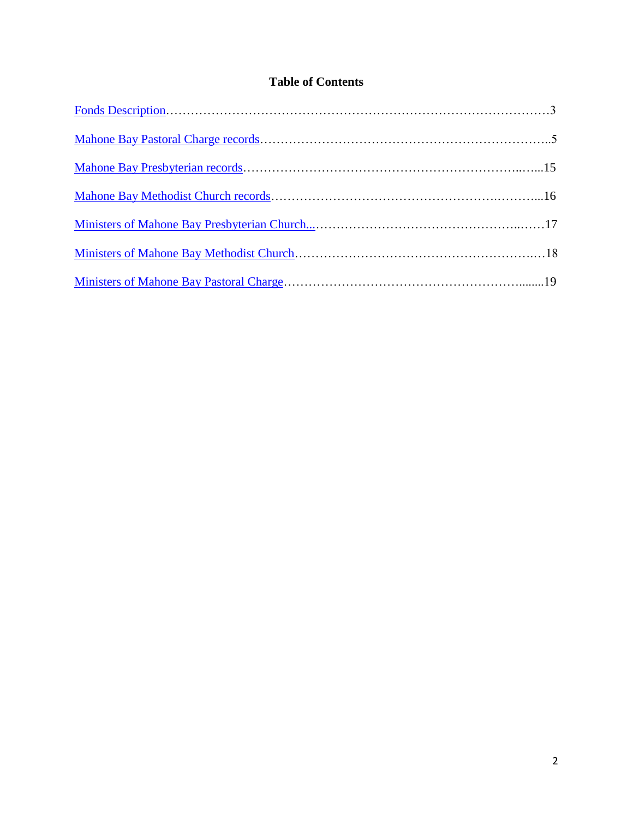# **Table of Contents**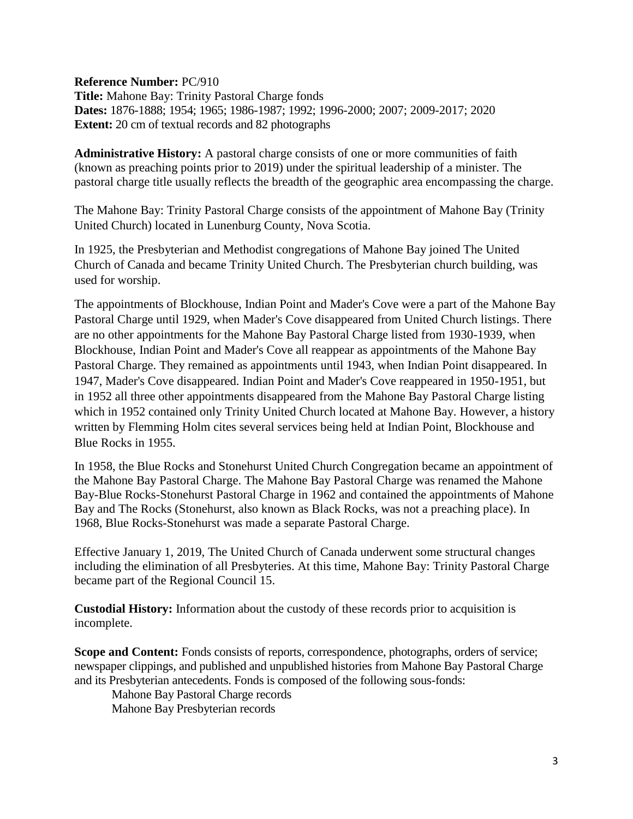<span id="page-2-0"></span>**Reference Number:** PC/910

**Title:** Mahone Bay: Trinity Pastoral Charge fonds **Dates:** 1876-1888; 1954; 1965; 1986-1987; 1992; 1996-2000; 2007; 2009-2017; 2020 **Extent:** 20 cm of textual records and 82 photographs

**Administrative History:** A pastoral charge consists of one or more communities of faith (known as preaching points prior to 2019) under the spiritual leadership of a minister. The pastoral charge title usually reflects the breadth of the geographic area encompassing the charge.

The Mahone Bay: Trinity Pastoral Charge consists of the appointment of Mahone Bay (Trinity United Church) located in Lunenburg County, Nova Scotia.

In 1925, the Presbyterian and Methodist congregations of Mahone Bay joined The United Church of Canada and became Trinity United Church. The Presbyterian church building, was used for worship.

The appointments of Blockhouse, Indian Point and Mader's Cove were a part of the Mahone Bay Pastoral Charge until 1929, when Mader's Cove disappeared from United Church listings. There are no other appointments for the Mahone Bay Pastoral Charge listed from 1930-1939, when Blockhouse, Indian Point and Mader's Cove all reappear as appointments of the Mahone Bay Pastoral Charge. They remained as appointments until 1943, when Indian Point disappeared. In 1947, Mader's Cove disappeared. Indian Point and Mader's Cove reappeared in 1950-1951, but in 1952 all three other appointments disappeared from the Mahone Bay Pastoral Charge listing which in 1952 contained only Trinity United Church located at Mahone Bay. However, a history written by Flemming Holm cites several services being held at Indian Point, Blockhouse and Blue Rocks in 1955.

In 1958, the Blue Rocks and Stonehurst United Church Congregation became an appointment of the Mahone Bay Pastoral Charge. The Mahone Bay Pastoral Charge was renamed the Mahone Bay-Blue Rocks-Stonehurst Pastoral Charge in 1962 and contained the appointments of Mahone Bay and The Rocks (Stonehurst, also known as Black Rocks, was not a preaching place). In 1968, Blue Rocks-Stonehurst was made a separate Pastoral Charge.

Effective January 1, 2019, The United Church of Canada underwent some structural changes including the elimination of all Presbyteries. At this time, Mahone Bay: Trinity Pastoral Charge became part of the Regional Council 15.

**Custodial History:** Information about the custody of these records prior to acquisition is incomplete.

**Scope and Content:** Fonds consists of reports, correspondence, photographs, orders of service; newspaper clippings, and published and unpublished histories from Mahone Bay Pastoral Charge and its Presbyterian antecedents. Fonds is composed of the following sous-fonds:

Mahone Bay Pastoral Charge records Mahone Bay Presbyterian records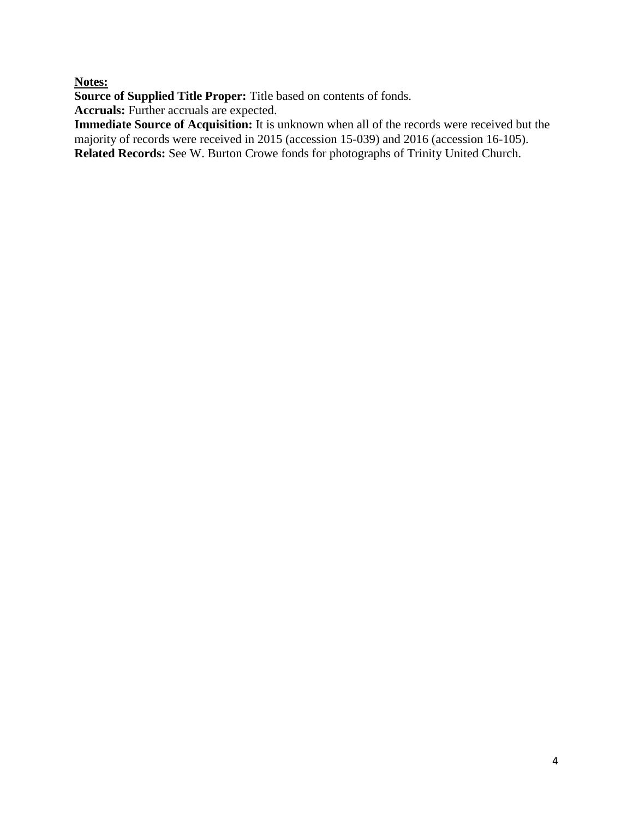# **Notes:**

**Source of Supplied Title Proper:** Title based on contents of fonds.

**Accruals:** Further accruals are expected.

**Immediate Source of Acquisition:** It is unknown when all of the records were received but the majority of records were received in 2015 (accession 15-039) and 2016 (accession 16-105). **Related Records:** See W. Burton Crowe fonds for photographs of Trinity United Church.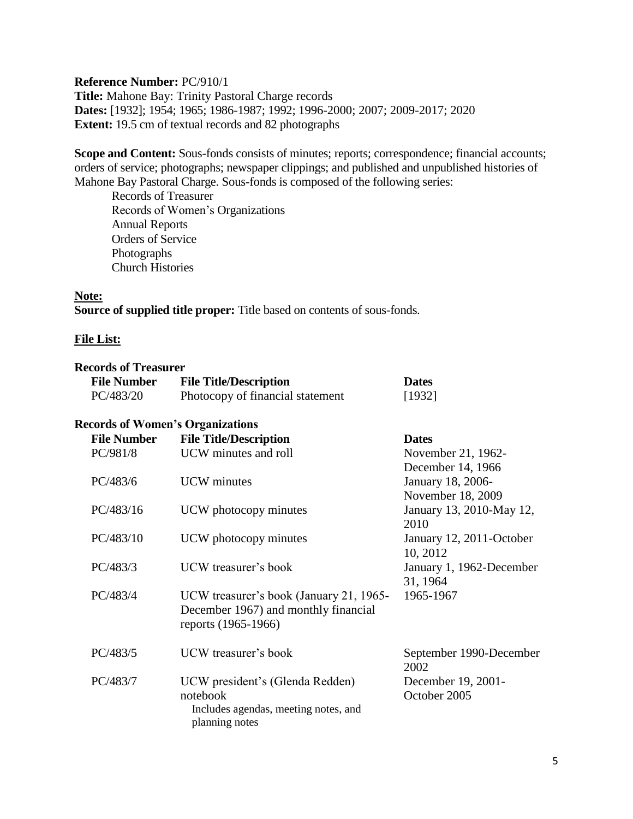<span id="page-4-0"></span>**Reference Number:** PC/910/1 **Title:** Mahone Bay: Trinity Pastoral Charge records **Dates:** [1932]; 1954; 1965; 1986-1987; 1992; 1996-2000; 2007; 2009-2017; 2020 **Extent:** 19.5 cm of textual records and 82 photographs

**Scope and Content:** Sous-fonds consists of minutes; reports; correspondence; financial accounts; orders of service; photographs; newspaper clippings; and published and unpublished histories of Mahone Bay Pastoral Charge. Sous-fonds is composed of the following series:

Records of Treasurer Records of Women's Organizations Annual Reports Orders of Service Photographs Church Histories

## **Note:**

**Source of supplied title proper:** Title based on contents of sous-fonds.

#### **File List:**

#### **Records of Treasurer**

| <b>File Number</b> | <b>File Title/Description</b>    | <b>Dates</b> |
|--------------------|----------------------------------|--------------|
| PC/483/20          | Photocopy of financial statement | [1932]       |

#### **Records of Women's Organizations**

| <b>File Number</b> | <b>File Title/Description</b>                          | <b>Dates</b>             |
|--------------------|--------------------------------------------------------|--------------------------|
| PC/981/8           | UCW minutes and roll                                   | November 21, 1962-       |
|                    |                                                        | December 14, 1966        |
| PC/483/6           | <b>UCW</b> minutes                                     | January 18, 2006-        |
|                    |                                                        | November 18, 2009        |
| PC/483/16          | UCW photocopy minutes                                  | January 13, 2010-May 12, |
|                    |                                                        | 2010                     |
| PC/483/10          | UCW photocopy minutes                                  | January 12, 2011-October |
|                    |                                                        | 10, 2012                 |
| PC/483/3           | UCW treasurer's book                                   | January 1, 1962-December |
|                    |                                                        | 31, 1964                 |
| PC/483/4           | UCW treasurer's book (January 21, 1965-                | 1965-1967                |
|                    | December 1967) and monthly financial                   |                          |
|                    | reports (1965-1966)                                    |                          |
| PC/483/5           | UCW treasurer's book                                   | September 1990-December  |
|                    |                                                        | 2002                     |
| PC/483/7           | UCW president's (Glenda Redden)                        | December 19, 2001-       |
|                    | notebook                                               | October 2005             |
|                    | Includes agendas, meeting notes, and<br>planning notes |                          |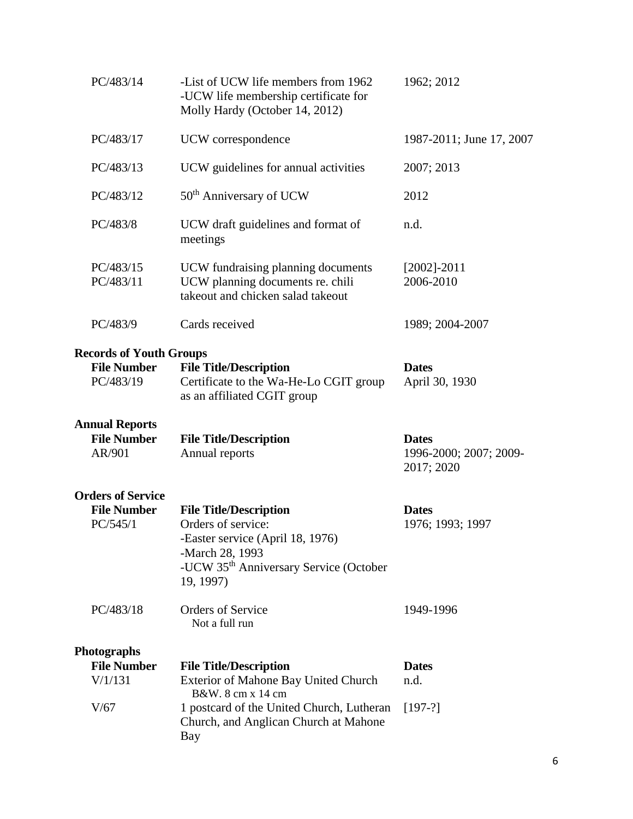| PC/483/14                                                         | -List of UCW life members from 1962<br>-UCW life membership certificate for<br>Molly Hardy (October 14, 2012)                                                                 | 1962; 2012                           |
|-------------------------------------------------------------------|-------------------------------------------------------------------------------------------------------------------------------------------------------------------------------|--------------------------------------|
| PC/483/17                                                         | UCW correspondence                                                                                                                                                            | 1987-2011; June 17, 2007             |
| PC/483/13                                                         | UCW guidelines for annual activities                                                                                                                                          | 2007; 2013                           |
| PC/483/12                                                         | 50 <sup>th</sup> Anniversary of UCW                                                                                                                                           | 2012                                 |
| PC/483/8                                                          | UCW draft guidelines and format of<br>meetings                                                                                                                                | n.d.                                 |
| PC/483/15<br>PC/483/11                                            | UCW fundraising planning documents<br>UCW planning documents re. chili<br>takeout and chicken salad takeout                                                                   | $[2002] - 2011$<br>2006-2010         |
| PC/483/9                                                          | Cards received                                                                                                                                                                | 1989; 2004-2007                      |
| <b>Records of Youth Groups</b><br><b>File Number</b><br>PC/483/19 | <b>File Title/Description</b><br>Certificate to the Wa-He-Lo CGIT group<br>as an affiliated CGIT group                                                                        | <b>Dates</b><br>April 30, 1930       |
| <b>Annual Reports</b><br><b>File Number</b>                       | <b>File Title/Description</b>                                                                                                                                                 | <b>Dates</b>                         |
| AR/901                                                            | Annual reports                                                                                                                                                                | 1996-2000; 2007; 2009-<br>2017; 2020 |
| <b>Orders of Service</b><br><b>File Number</b><br>PC/545/1        | <b>File Title/Description</b><br>Orders of service:<br>-Easter service (April 18, 1976)<br>-March 28, 1993<br>-UCW 35 <sup>th</sup> Anniversary Service (October<br>19, 1997) | <b>Dates</b><br>1976; 1993; 1997     |
| PC/483/18                                                         | <b>Orders of Service</b><br>Not a full run                                                                                                                                    | 1949-1996                            |
|                                                                   |                                                                                                                                                                               |                                      |
| Photographs<br><b>File Number</b>                                 | <b>File Title/Description</b>                                                                                                                                                 | <b>Dates</b>                         |
| V/1/131                                                           | Exterior of Mahone Bay United Church<br>B&W. 8 cm x 14 cm                                                                                                                     | n.d.                                 |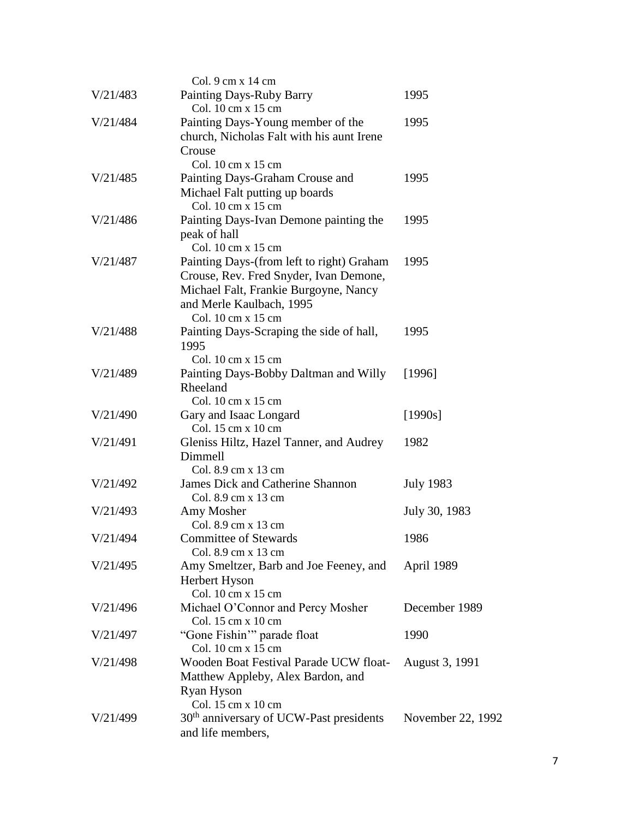|          | Col. 9 cm x 14 cm                                       |                   |
|----------|---------------------------------------------------------|-------------------|
| V/21/483 | Painting Days-Ruby Barry                                | 1995              |
|          | Col. 10 cm x 15 cm                                      |                   |
| V/21/484 | Painting Days-Young member of the                       | 1995              |
|          | church, Nicholas Falt with his aunt Irene               |                   |
|          | Crouse                                                  |                   |
|          | Col. 10 cm x 15 cm                                      |                   |
| V/21/485 | Painting Days-Graham Crouse and                         | 1995              |
|          | Michael Falt putting up boards                          |                   |
|          | Col. 10 cm x 15 cm                                      |                   |
| V/21/486 | Painting Days-Ivan Demone painting the                  | 1995              |
|          | peak of hall                                            |                   |
|          | Col. 10 cm x 15 cm                                      |                   |
| V/21/487 | Painting Days-(from left to right) Graham               | 1995              |
|          | Crouse, Rev. Fred Snyder, Ivan Demone,                  |                   |
|          | Michael Falt, Frankie Burgoyne, Nancy                   |                   |
|          | and Merle Kaulbach, 1995                                |                   |
|          | Col. 10 cm x 15 cm                                      |                   |
| V/21/488 | Painting Days-Scraping the side of hall,                | 1995              |
|          | 1995                                                    |                   |
|          | Col. 10 cm x 15 cm                                      |                   |
| V/21/489 | Painting Days-Bobby Daltman and Willy                   | [1996]            |
|          | Rheeland                                                |                   |
|          | Col. 10 cm x 15 cm                                      |                   |
| V/21/490 | Gary and Isaac Longard                                  | [1990s]           |
|          | Col. 15 cm x 10 cm                                      |                   |
| V/21/491 | Gleniss Hiltz, Hazel Tanner, and Audrey                 | 1982              |
|          | Dimmell                                                 |                   |
|          | Col. 8.9 cm x 13 cm                                     |                   |
| V/21/492 | <b>James Dick and Catherine Shannon</b>                 | <b>July 1983</b>  |
|          | Col. 8.9 cm x 13 cm                                     |                   |
| V/21/493 | Amy Mosher                                              | July 30, 1983     |
|          | Col. 8.9 cm x 13 cm                                     |                   |
| V/21/494 | <b>Committee of Stewards</b>                            | 1986              |
|          | Col. 8.9 cm x 13 cm                                     |                   |
| V/21/495 | Amy Smeltzer, Barb and Joe Feeney, and                  | April 1989        |
|          | Herbert Hyson                                           |                   |
| V/21/496 | Col. 10 cm x 15 cm                                      | December 1989     |
|          | Michael O'Connor and Percy Mosher<br>Col. 15 cm x 10 cm |                   |
| V/21/497 | "Gone Fishin" parade float                              | 1990              |
|          | Col. 10 cm x 15 cm                                      |                   |
| V/21/498 | Wooden Boat Festival Parade UCW float-                  | August 3, 1991    |
|          | Matthew Appleby, Alex Bardon, and                       |                   |
|          | Ryan Hyson                                              |                   |
|          | Col. 15 cm x 10 cm                                      |                   |
| V/21/499 | 30 <sup>th</sup> anniversary of UCW-Past presidents     | November 22, 1992 |
|          | and life members,                                       |                   |
|          |                                                         |                   |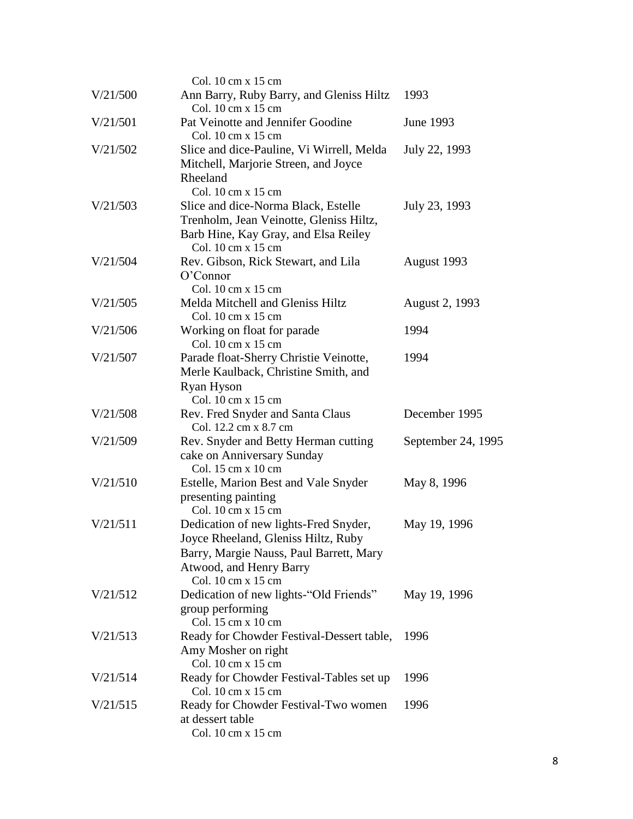|          | Col. 10 cm x 15 cm                                                                                                                                                                              |                    |
|----------|-------------------------------------------------------------------------------------------------------------------------------------------------------------------------------------------------|--------------------|
| V/21/500 | Ann Barry, Ruby Barry, and Gleniss Hiltz<br>Col. 10 cm x 15 cm                                                                                                                                  | 1993               |
| V/21/501 | Pat Veinotte and Jennifer Goodine<br>Col. 10 cm x 15 cm                                                                                                                                         | June 1993          |
| V/21/502 | Slice and dice-Pauline, Vi Wirrell, Melda<br>Mitchell, Marjorie Streen, and Joyce<br>Rheeland<br>Col. 10 cm x 15 cm                                                                             | July 22, 1993      |
| V/21/503 | Slice and dice-Norma Black, Estelle<br>Trenholm, Jean Veinotte, Gleniss Hiltz,<br>Barb Hine, Kay Gray, and Elsa Reiley<br>Col. 10 cm x 15 cm                                                    | July 23, 1993      |
| V/21/504 | Rev. Gibson, Rick Stewart, and Lila<br>O'Connor<br>Col. 10 cm x 15 cm                                                                                                                           | August 1993        |
| V/21/505 | Melda Mitchell and Gleniss Hiltz<br>Col. 10 cm x 15 cm                                                                                                                                          | August 2, 1993     |
| V/21/506 | Working on float for parade<br>Col. 10 cm x 15 cm                                                                                                                                               | 1994               |
| V/21/507 | Parade float-Sherry Christie Veinotte,<br>Merle Kaulback, Christine Smith, and<br>Ryan Hyson<br>Col. 10 cm x 15 cm                                                                              | 1994               |
| V/21/508 | Rev. Fred Snyder and Santa Claus<br>Col. 12.2 cm x 8.7 cm                                                                                                                                       | December 1995      |
| V/21/509 | Rev. Snyder and Betty Herman cutting<br>cake on Anniversary Sunday<br>Col. 15 cm x 10 cm                                                                                                        | September 24, 1995 |
| V/21/510 | Estelle, Marion Best and Vale Snyder<br>presenting painting<br>Col. 10 cm x 15 cm                                                                                                               | May 8, 1996        |
| V/21/511 | Dedication of new lights-Fred Snyder,<br>Joyce Rheeland, Gleniss Hiltz, Ruby<br>Barry, Margie Nauss, Paul Barrett, Mary<br>Atwood, and Henry Barry<br>Col. $10 \text{ cm} \times 15 \text{ cm}$ | May 19, 1996       |
| V/21/512 | Dedication of new lights-"Old Friends"<br>group performing<br>Col. 15 cm x 10 cm                                                                                                                | May 19, 1996       |
| V/21/513 | Ready for Chowder Festival-Dessert table,<br>Amy Mosher on right<br>Col. 10 cm x 15 cm                                                                                                          | 1996               |
| V/21/514 | Ready for Chowder Festival-Tables set up<br>Col. 10 cm x 15 cm                                                                                                                                  | 1996               |
| V/21/515 | Ready for Chowder Festival-Two women<br>at dessert table<br>Col. 10 cm x 15 cm                                                                                                                  | 1996               |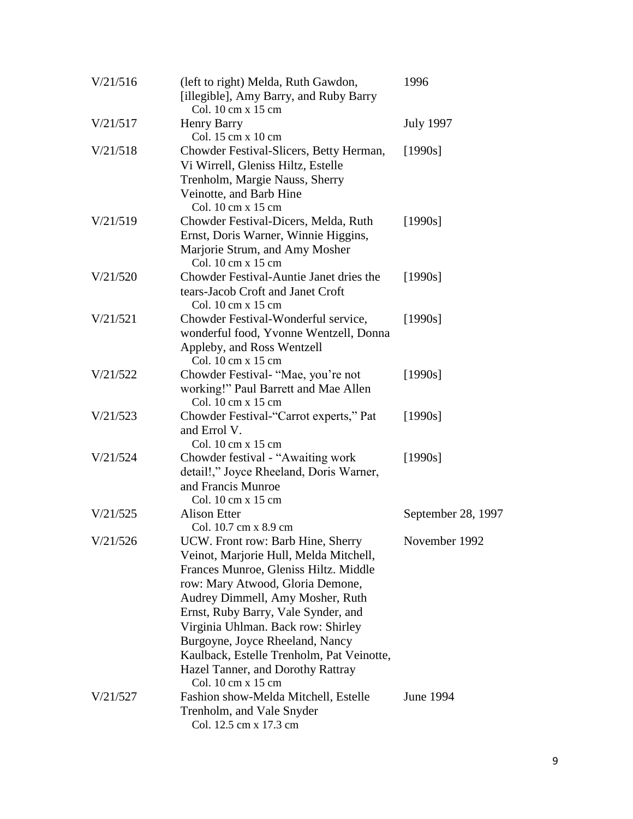| V/21/516 | (left to right) Melda, Ruth Gawdon,<br>[illegible], Amy Barry, and Ruby Barry<br>Col. 10 cm x 15 cm                                                                                                                                                                                                                                                                                                                  | 1996               |
|----------|----------------------------------------------------------------------------------------------------------------------------------------------------------------------------------------------------------------------------------------------------------------------------------------------------------------------------------------------------------------------------------------------------------------------|--------------------|
| V/21/517 | <b>Henry Barry</b><br>Col. 15 cm x 10 cm                                                                                                                                                                                                                                                                                                                                                                             | <b>July 1997</b>   |
| V/21/518 | Chowder Festival-Slicers, Betty Herman,<br>Vi Wirrell, Gleniss Hiltz, Estelle<br>Trenholm, Margie Nauss, Sherry<br>Veinotte, and Barb Hine<br>Col. 10 cm x 15 cm                                                                                                                                                                                                                                                     | [1990s]            |
| V/21/519 | Chowder Festival-Dicers, Melda, Ruth<br>Ernst, Doris Warner, Winnie Higgins,<br>Marjorie Strum, and Amy Mosher<br>Col. 10 cm x 15 cm                                                                                                                                                                                                                                                                                 | [1990s]            |
| V/21/520 | Chowder Festival-Auntie Janet dries the<br>tears-Jacob Croft and Janet Croft<br>Col. 10 cm x 15 cm                                                                                                                                                                                                                                                                                                                   | [1990s]            |
| V/21/521 | Chowder Festival-Wonderful service,<br>wonderful food, Yvonne Wentzell, Donna<br>Appleby, and Ross Wentzell<br>Col. 10 cm x 15 cm                                                                                                                                                                                                                                                                                    | [1990s]            |
| V/21/522 | Chowder Festival- "Mae, you're not<br>working!" Paul Barrett and Mae Allen<br>Col. 10 cm x 15 cm                                                                                                                                                                                                                                                                                                                     | [1990s]            |
| V/21/523 | Chowder Festival-"Carrot experts," Pat<br>and Errol V.<br>Col. 10 cm x 15 cm                                                                                                                                                                                                                                                                                                                                         | [1990s]            |
| V/21/524 | Chowder festival - "Awaiting work<br>detail!," Joyce Rheeland, Doris Warner,<br>and Francis Munroe<br>Col. 10 cm x 15 cm                                                                                                                                                                                                                                                                                             | [1990s]            |
| V/21/525 | <b>Alison Etter</b><br>Col. 10.7 cm x 8.9 cm                                                                                                                                                                                                                                                                                                                                                                         | September 28, 1997 |
| V/21/526 | UCW. Front row: Barb Hine, Sherry<br>Veinot, Marjorie Hull, Melda Mitchell,<br>Frances Munroe, Gleniss Hiltz. Middle<br>row: Mary Atwood, Gloria Demone,<br>Audrey Dimmell, Amy Mosher, Ruth<br>Ernst, Ruby Barry, Vale Synder, and<br>Virginia Uhlman. Back row: Shirley<br>Burgoyne, Joyce Rheeland, Nancy<br>Kaulback, Estelle Trenholm, Pat Veinotte,<br>Hazel Tanner, and Dorothy Rattray<br>Col. 10 cm x 15 cm | November 1992      |
| V/21/527 | Fashion show-Melda Mitchell, Estelle<br>Trenholm, and Vale Snyder<br>Col. 12.5 cm x 17.3 cm                                                                                                                                                                                                                                                                                                                          | June 1994          |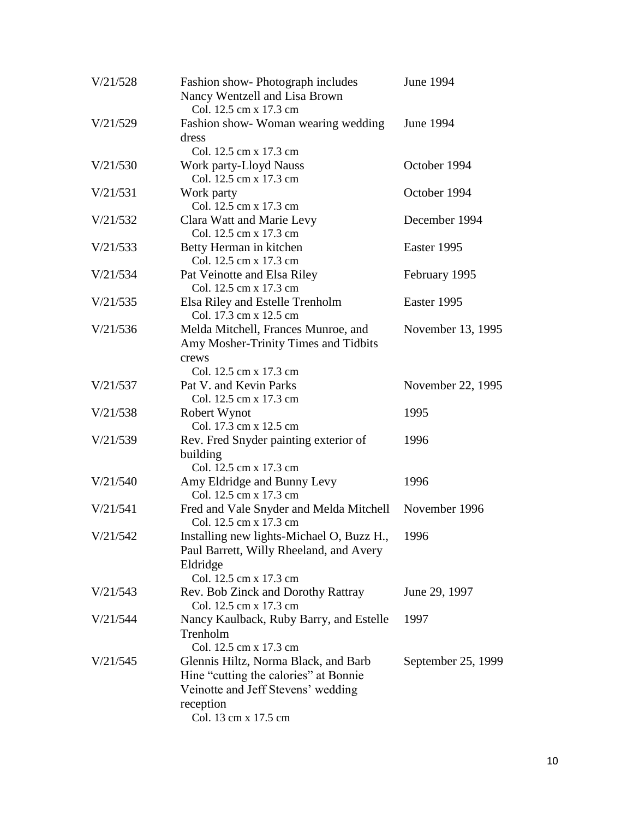| V/21/528 | Fashion show-Photograph includes<br>Nancy Wentzell and Lisa Brown<br>Col. 12.5 cm x 17.3 cm                                                              | June 1994          |
|----------|----------------------------------------------------------------------------------------------------------------------------------------------------------|--------------------|
| V/21/529 | Fashion show-Woman wearing wedding<br>dress                                                                                                              | June 1994          |
| V/21/530 | Col. 12.5 cm x 17.3 cm<br>Work party-Lloyd Nauss<br>Col. 12.5 cm x 17.3 cm                                                                               | October 1994       |
| V/21/531 | Work party<br>Col. 12.5 cm x 17.3 cm                                                                                                                     | October 1994       |
| V/21/532 | Clara Watt and Marie Levy<br>Col. 12.5 cm x 17.3 cm                                                                                                      | December 1994      |
| V/21/533 | Betty Herman in kitchen<br>Col. 12.5 cm x 17.3 cm                                                                                                        | Easter 1995        |
| V/21/534 | Pat Veinotte and Elsa Riley<br>Col. 12.5 cm x 17.3 cm                                                                                                    | February 1995      |
| V/21/535 | Elsa Riley and Estelle Trenholm<br>Col. 17.3 cm x 12.5 cm                                                                                                | Easter 1995        |
| V/21/536 | Melda Mitchell, Frances Munroe, and<br>Amy Mosher-Trinity Times and Tidbits<br>crews                                                                     | November 13, 1995  |
| V/21/537 | Col. 12.5 cm x 17.3 cm<br>Pat V. and Kevin Parks<br>Col. 12.5 cm x 17.3 cm                                                                               | November 22, 1995  |
| V/21/538 | Robert Wynot<br>Col. 17.3 cm x 12.5 cm                                                                                                                   | 1995               |
| V/21/539 | Rev. Fred Snyder painting exterior of<br>building<br>Col. 12.5 cm x 17.3 cm                                                                              | 1996               |
| V/21/540 | Amy Eldridge and Bunny Levy<br>Col. 12.5 cm x 17.3 cm                                                                                                    | 1996               |
| V/21/541 | Fred and Vale Snyder and Melda Mitchell<br>Col. 12.5 cm x 17.3 cm                                                                                        | November 1996      |
| V/21/542 | Installing new lights-Michael O, Buzz H.,<br>Paul Barrett, Willy Rheeland, and Avery<br>Eldridge<br>Col. 12.5 cm x 17.3 cm                               | 1996               |
| V/21/543 | Rev. Bob Zinck and Dorothy Rattray<br>Col. 12.5 cm x 17.3 cm                                                                                             | June 29, 1997      |
| V/21/544 | Nancy Kaulback, Ruby Barry, and Estelle<br>Trenholm<br>Col. 12.5 cm x 17.3 cm                                                                            | 1997               |
| V/21/545 | Glennis Hiltz, Norma Black, and Barb<br>Hine "cutting the calories" at Bonnie<br>Veinotte and Jeff Stevens' wedding<br>reception<br>Col. 13 cm x 17.5 cm | September 25, 1999 |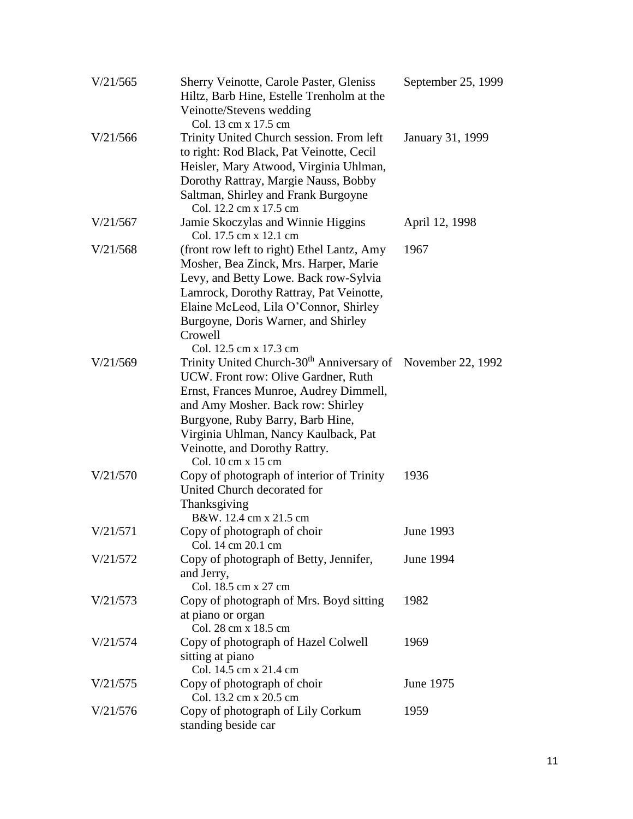| V/21/565 | <b>Sherry Veinotte, Carole Paster, Gleniss</b><br>Hiltz, Barb Hine, Estelle Trenholm at the<br>Veinotte/Stevens wedding                                                                                                                                                                                                          | September 25, 1999 |
|----------|----------------------------------------------------------------------------------------------------------------------------------------------------------------------------------------------------------------------------------------------------------------------------------------------------------------------------------|--------------------|
| V/21/566 | Col. 13 cm x 17.5 cm<br>Trinity United Church session. From left<br>to right: Rod Black, Pat Veinotte, Cecil<br>Heisler, Mary Atwood, Virginia Uhlman,<br>Dorothy Rattray, Margie Nauss, Bobby<br>Saltman, Shirley and Frank Burgoyne<br>Col. 12.2 cm x 17.5 cm                                                                  | January 31, 1999   |
| V/21/567 | Jamie Skoczylas and Winnie Higgins<br>Col. 17.5 cm x 12.1 cm                                                                                                                                                                                                                                                                     | April 12, 1998     |
| V/21/568 | (front row left to right) Ethel Lantz, Amy<br>Mosher, Bea Zinck, Mrs. Harper, Marie<br>Levy, and Betty Lowe. Back row-Sylvia<br>Lamrock, Dorothy Rattray, Pat Veinotte,<br>Elaine McLeod, Lila O'Connor, Shirley<br>Burgoyne, Doris Warner, and Shirley<br>Crowell<br>Col. 12.5 cm x 17.3 cm                                     | 1967               |
| V/21/569 | Trinity United Church-30 <sup>th</sup> Anniversary of November 22, 1992<br>UCW. Front row: Olive Gardner, Ruth<br>Ernst, Frances Munroe, Audrey Dimmell,<br>and Amy Mosher. Back row: Shirley<br>Burgyone, Ruby Barry, Barb Hine,<br>Virginia Uhlman, Nancy Kaulback, Pat<br>Veinotte, and Dorothy Rattry.<br>Col. 10 cm x 15 cm |                    |
| V/21/570 | Copy of photograph of interior of Trinity<br>United Church decorated for<br>Thanksgiving<br>B&W. 12.4 cm x 21.5 cm                                                                                                                                                                                                               | 1936               |
| V/21/571 | Copy of photograph of choir<br>Col. 14 cm 20.1 cm                                                                                                                                                                                                                                                                                | June 1993          |
| V/21/572 | Copy of photograph of Betty, Jennifer,<br>and Jerry,<br>Col. 18.5 cm x 27 cm                                                                                                                                                                                                                                                     | June 1994          |
| V/21/573 | Copy of photograph of Mrs. Boyd sitting<br>at piano or organ<br>Col. 28 cm x 18.5 cm                                                                                                                                                                                                                                             | 1982               |
| V/21/574 | Copy of photograph of Hazel Colwell<br>sitting at piano<br>Col. 14.5 cm x 21.4 cm                                                                                                                                                                                                                                                | 1969               |
| V/21/575 | Copy of photograph of choir<br>Col. 13.2 cm x 20.5 cm                                                                                                                                                                                                                                                                            | June 1975          |
| V/21/576 | Copy of photograph of Lily Corkum<br>standing beside car                                                                                                                                                                                                                                                                         | 1959               |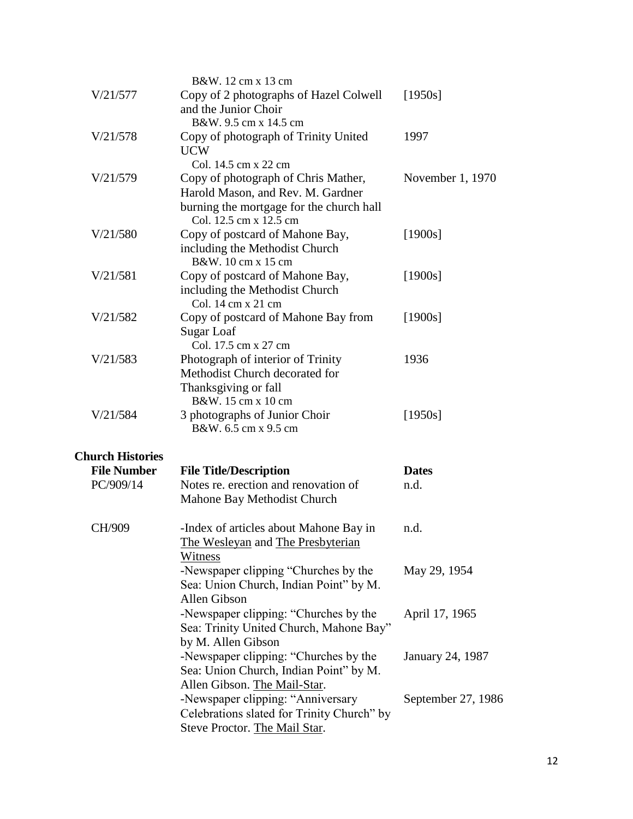|                         | B&W. 12 cm x 13 cm                                          |                    |
|-------------------------|-------------------------------------------------------------|--------------------|
| V/21/577                | Copy of 2 photographs of Hazel Colwell                      | [1950s]            |
|                         | and the Junior Choir                                        |                    |
|                         | B&W. 9.5 cm x 14.5 cm                                       |                    |
| V/21/578                | Copy of photograph of Trinity United                        | 1997               |
|                         | <b>UCW</b>                                                  |                    |
|                         | Col. 14.5 cm x 22 cm                                        |                    |
| V/21/579                | Copy of photograph of Chris Mather,                         | November 1, 1970   |
|                         | Harold Mason, and Rev. M. Gardner                           |                    |
|                         | burning the mortgage for the church hall                    |                    |
|                         | Col. 12.5 cm x 12.5 cm                                      |                    |
| V/21/580                | Copy of postcard of Mahone Bay,                             | $[1900s]$          |
|                         | including the Methodist Church<br>B&W. 10 cm x 15 cm        |                    |
| V/21/581                | Copy of postcard of Mahone Bay,                             | $[1900s]$          |
|                         | including the Methodist Church                              |                    |
|                         | Col. 14 cm x 21 cm                                          |                    |
| V/21/582                | Copy of postcard of Mahone Bay from                         | $[1900s]$          |
|                         | Sugar Loaf                                                  |                    |
|                         | Col. 17.5 cm x 27 cm                                        |                    |
| V/21/583                | Photograph of interior of Trinity                           | 1936               |
|                         | Methodist Church decorated for                              |                    |
|                         | Thanksgiving or fall                                        |                    |
|                         | B&W. 15 cm x 10 cm                                          |                    |
| V/21/584                | 3 photographs of Junior Choir                               | [1950s]            |
|                         | B&W. 6.5 cm x 9.5 cm                                        |                    |
| <b>Church Histories</b> |                                                             |                    |
| <b>File Number</b>      | <b>File Title/Description</b>                               | <b>Dates</b>       |
| PC/909/14               | Notes re. erection and renovation of                        | n.d.               |
|                         | Mahone Bay Methodist Church                                 |                    |
|                         |                                                             |                    |
| CH/909                  | -Index of articles about Mahone Bay in                      | n.d.               |
|                         | The Wesleyan and The Presbyterian                           |                    |
|                         | Witness                                                     |                    |
|                         | -Newspaper clipping "Churches by the                        | May 29, 1954       |
|                         | Sea: Union Church, Indian Point" by M.                      |                    |
|                         | Allen Gibson                                                |                    |
|                         | -Newspaper clipping: "Churches by the                       | April 17, 1965     |
|                         | Sea: Trinity United Church, Mahone Bay"                     |                    |
|                         | by M. Allen Gibson<br>-Newspaper clipping: "Churches by the |                    |
|                         | Sea: Union Church, Indian Point" by M.                      | January 24, 1987   |
|                         | Allen Gibson. The Mail-Star.                                |                    |
|                         | -Newspaper clipping: "Anniversary                           | September 27, 1986 |
|                         | Celebrations slated for Trinity Church" by                  |                    |
|                         | Steve Proctor. The Mail Star.                               |                    |
|                         |                                                             |                    |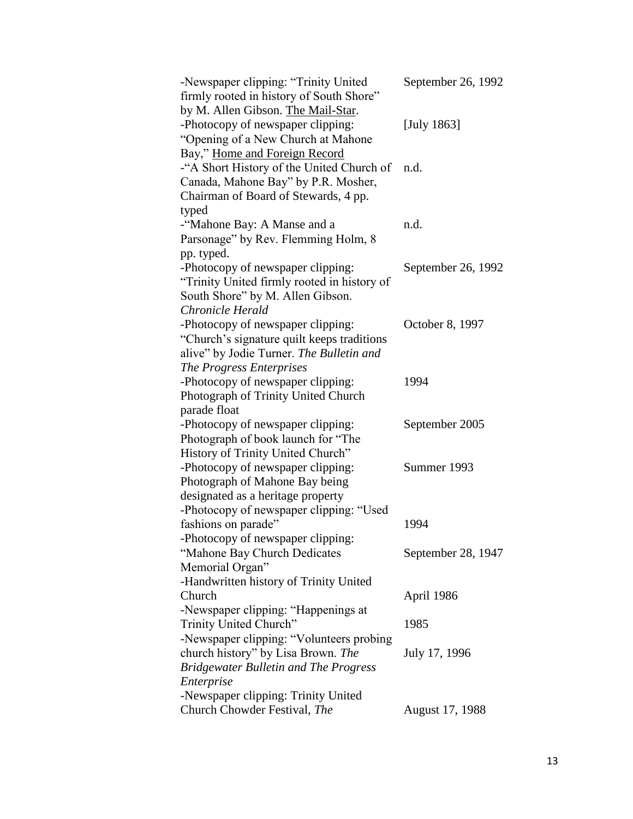| -Newspaper clipping: "Trinity United<br>firmly rooted in history of South Shore" | September 26, 1992 |
|----------------------------------------------------------------------------------|--------------------|
| by M. Allen Gibson. The Mail-Star.                                               |                    |
| -Photocopy of newspaper clipping:                                                | [July $1863$ ]     |
| "Opening of a New Church at Mahone                                               |                    |
| Bay," Home and Foreign Record                                                    |                    |
| -"A Short History of the United Church of                                        | n.d.               |
| Canada, Mahone Bay" by P.R. Mosher,                                              |                    |
| Chairman of Board of Stewards, 4 pp.                                             |                    |
| typed                                                                            |                    |
| -"Mahone Bay: A Manse and a                                                      | n.d.               |
| Parsonage" by Rev. Flemming Holm, 8                                              |                    |
| pp. typed.                                                                       |                    |
| -Photocopy of newspaper clipping:                                                | September 26, 1992 |
| "Trinity United firmly rooted in history of                                      |                    |
| South Shore" by M. Allen Gibson.                                                 |                    |
| Chronicle Herald                                                                 |                    |
| -Photocopy of newspaper clipping:                                                | October 8, 1997    |
| "Church's signature quilt keeps traditions"                                      |                    |
| alive" by Jodie Turner. The Bulletin and                                         |                    |
| The Progress Enterprises                                                         |                    |
| -Photocopy of newspaper clipping:                                                | 1994               |
| Photograph of Trinity United Church                                              |                    |
| parade float                                                                     |                    |
| -Photocopy of newspaper clipping:                                                | September 2005     |
| Photograph of book launch for "The                                               |                    |
| History of Trinity United Church"                                                |                    |
| -Photocopy of newspaper clipping:                                                | Summer 1993        |
| Photograph of Mahone Bay being                                                   |                    |
| designated as a heritage property                                                |                    |
| -Photocopy of newspaper clipping: "Used                                          |                    |
| fashions on parade"                                                              | 1994               |
| -Photocopy of newspaper clipping:                                                |                    |
| "Mahone Bay Church Dedicates                                                     | September 28, 1947 |
| Memorial Organ"                                                                  |                    |
| -Handwritten history of Trinity United                                           |                    |
| Church                                                                           | April 1986         |
| -Newspaper clipping: "Happenings at                                              |                    |
| Trinity United Church"                                                           | 1985               |
| -Newspaper clipping: "Volunteers probing                                         |                    |
| church history" by Lisa Brown. The                                               | July 17, 1996      |
| <b>Bridgewater Bulletin and The Progress</b>                                     |                    |
| Enterprise                                                                       |                    |
| -Newspaper clipping: Trinity United                                              |                    |
| Church Chowder Festival, The                                                     | August 17, 1988    |
|                                                                                  |                    |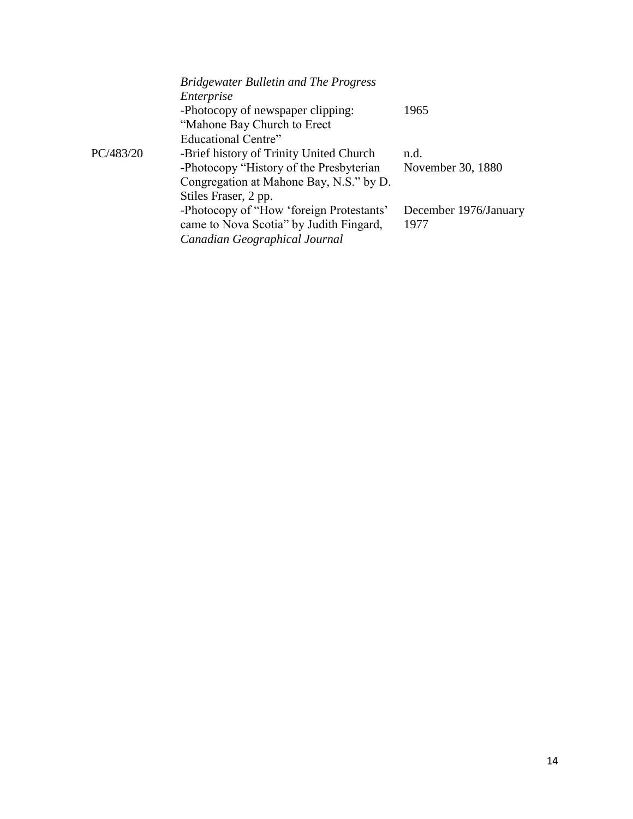|           | <b>Bridgewater Bulletin and The Progress</b> |                       |
|-----------|----------------------------------------------|-----------------------|
|           | Enterprise                                   |                       |
|           | -Photocopy of newspaper clipping:            | 1965                  |
|           | "Mahone Bay Church to Erect"                 |                       |
|           | Educational Centre"                          |                       |
| PC/483/20 | -Brief history of Trinity United Church      | n.d.                  |
|           | -Photocopy "History of the Presbyterian      | November 30, 1880     |
|           | Congregation at Mahone Bay, N.S." by D.      |                       |
|           | Stiles Fraser, 2 pp.                         |                       |
|           | -Photocopy of "How 'foreign Protestants'     | December 1976/January |
|           | came to Nova Scotia" by Judith Fingard,      | 1977                  |
|           | Canadian Geographical Journal                |                       |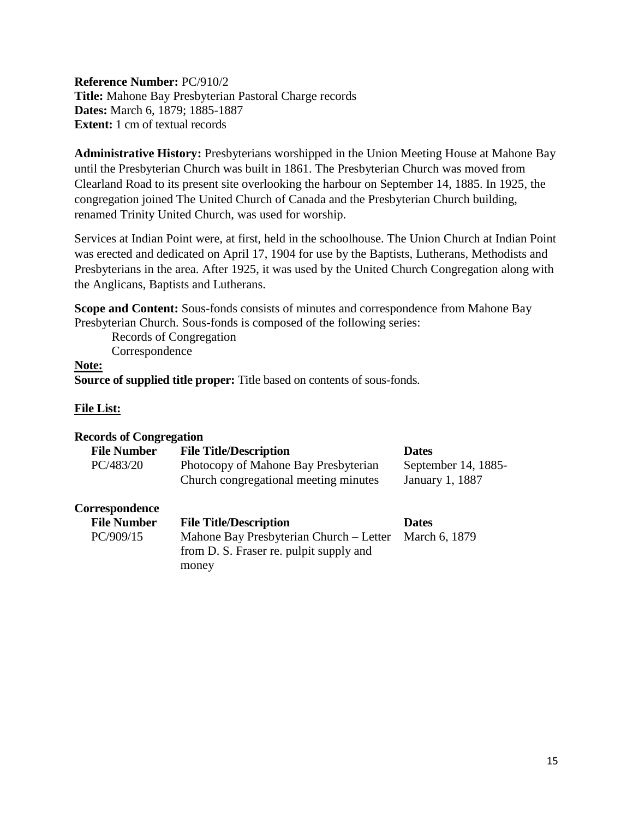<span id="page-14-0"></span>**Reference Number:** PC/910/2 **Title:** Mahone Bay Presbyterian Pastoral Charge records **Dates:** March 6, 1879; 1885-1887 **Extent:** 1 cm of textual records

**Administrative History:** Presbyterians worshipped in the Union Meeting House at Mahone Bay until the Presbyterian Church was built in 1861. The Presbyterian Church was moved from Clearland Road to its present site overlooking the harbour on September 14, 1885. In 1925, the congregation joined The United Church of Canada and the Presbyterian Church building, renamed Trinity United Church, was used for worship.

Services at Indian Point were, at first, held in the schoolhouse. The Union Church at Indian Point was erected and dedicated on April 17, 1904 for use by the Baptists, Lutherans, Methodists and Presbyterians in the area. After 1925, it was used by the United Church Congregation along with the Anglicans, Baptists and Lutherans.

**Scope and Content:** Sous-fonds consists of minutes and correspondence from Mahone Bay Presbyterian Church. Sous-fonds is composed of the following series:

Records of Congregation Correspondence

### **Note:**

**Source of supplied title proper:** Title based on contents of sous-fonds.

## **File List:**

| <b>Records of Congregation</b>       |                                                                                             |                                        |
|--------------------------------------|---------------------------------------------------------------------------------------------|----------------------------------------|
| <b>File Number</b>                   | <b>File Title/Description</b>                                                               | <b>Dates</b>                           |
| PC/483/20                            | Photocopy of Mahone Bay Presbyterian<br>Church congregational meeting minutes               | September 14, 1885-<br>January 1, 1887 |
| Correspondence<br><b>File Number</b> | <b>File Title/Description</b>                                                               | <b>Dates</b>                           |
| PC/909/15                            | Mahone Bay Presbyterian Church - Letter<br>from D. S. Fraser re. pulpit supply and<br>money | March 6, 1879                          |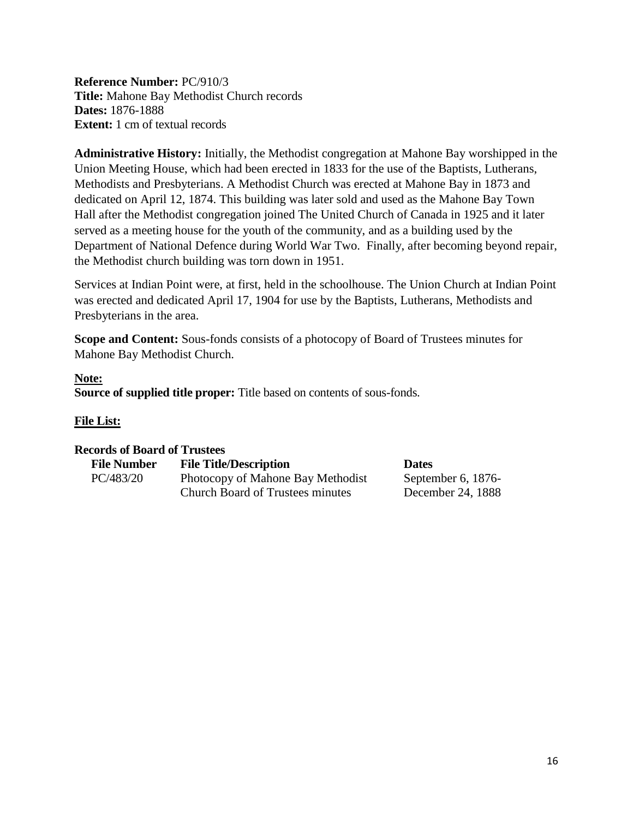<span id="page-15-0"></span>**Reference Number:** PC/910/3 **Title:** Mahone Bay Methodist Church records **Dates:** 1876-1888 **Extent:** 1 cm of textual records

**Administrative History:** Initially, the Methodist congregation at Mahone Bay worshipped in the Union Meeting House, which had been erected in 1833 for the use of the Baptists, Lutherans, Methodists and Presbyterians. A Methodist Church was erected at Mahone Bay in 1873 and dedicated on April 12, 1874. This building was later sold and used as the Mahone Bay Town Hall after the Methodist congregation joined The United Church of Canada in 1925 and it later served as a meeting house for the youth of the community, and as a building used by the Department of National Defence during World War Two. Finally, after becoming beyond repair, the Methodist church building was torn down in 1951.

Services at Indian Point were, at first, held in the schoolhouse. The Union Church at Indian Point was erected and dedicated April 17, 1904 for use by the Baptists, Lutherans, Methodists and Presbyterians in the area.

**Scope and Content:** Sous-fonds consists of a photocopy of Board of Trustees minutes for Mahone Bay Methodist Church.

### **Note:**

**Source of supplied title proper:** Title based on contents of sous-fonds.

# **File List:**

### **Records of Board of Trustees**

| <b>File Number</b> | <b>File Title/Description</b>           | <b>Dates</b>       |  |
|--------------------|-----------------------------------------|--------------------|--|
| PC/483/20          | Photocopy of Mahone Bay Methodist       | September 6, 1876- |  |
|                    | <b>Church Board of Trustees minutes</b> | December 24, 1888  |  |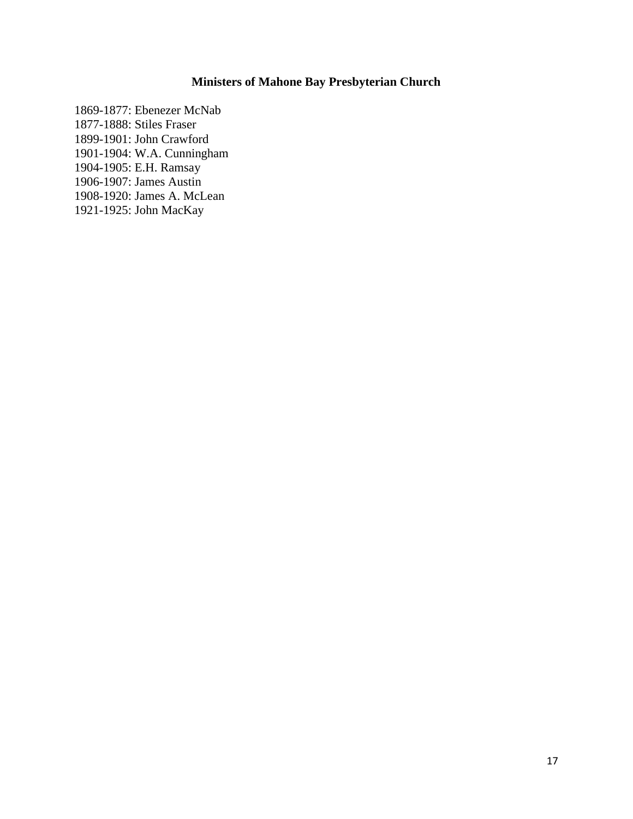# **Ministers of Mahone Bay Presbyterian Church**

<span id="page-16-0"></span>1869-1877: Ebenezer McNab 1877-1888: Stiles Fraser 1899-1901: John Crawford 1901-1904: W.A. Cunningham 1904-1905: E.H. Ramsay 1906-1907: James Austin 1908-1920: James A. McLean 1921-1925: John MacKay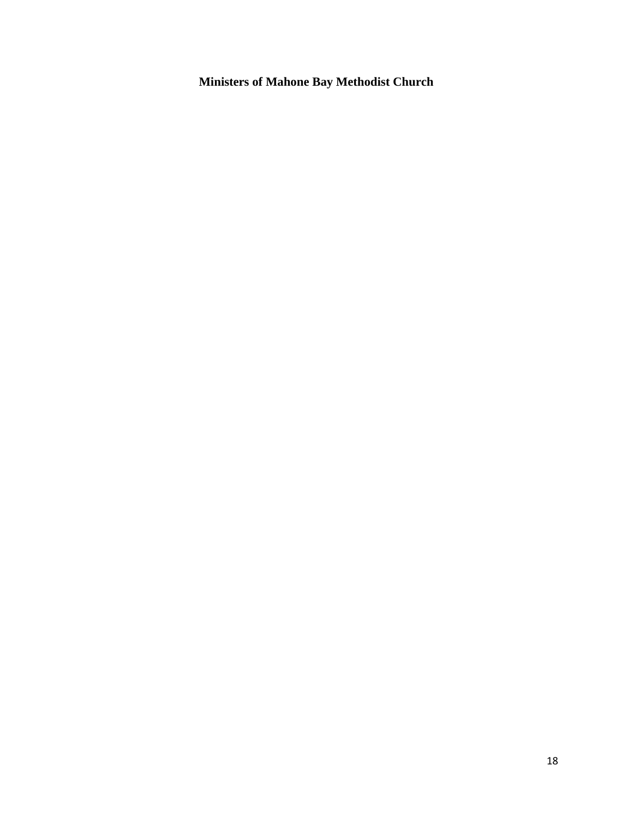<span id="page-17-0"></span>**Ministers of Mahone Bay Methodist Church**